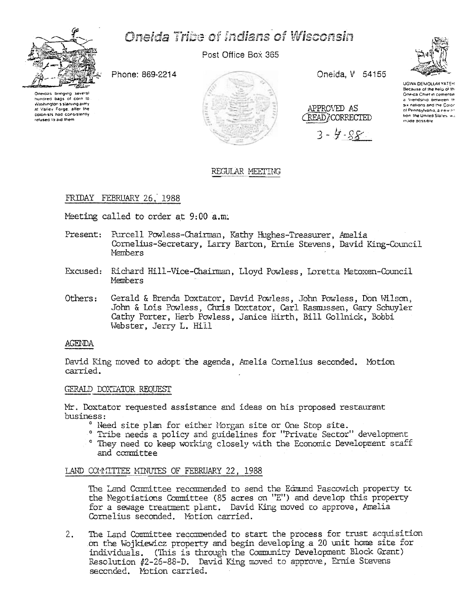

# **Oneida Tribe of Indians of Wisconsin**

Post Office Box 365

Phone: 869-2214





Oneida, V 54155

APPROVED AS

**CREAD CORRECTED** 

 $3 - 4 - 88$ 



**UGWA DEMOLUM YATER** Because of the help of the Oneida Chief in cementin a friendship between th six nations and the Colon of Pennsylvania, a new rotion the United States wa made possible

# REGULAR MEETING

# FRIDAY FEBRUARY 26, 1988

Meeting called to order at 9:00 a.m.

- Present: Purcell Powless-Chairman, Kathy Hughes-Treasurer, Amelia Cornelius-Secretary, Larry Barton, Ernie Stevens, David King-Council Members
- Excused: Richard Hill-Vice-Chairman, Lloyd Powless, Loretta Metoxen-Council Members
- Others: Gerald & Brenda Doxtator, David Powless, John Powless, Don Wilson, John & Lois Powless, Chris Doxtator, Carl Rasmussen, Gary Schuyler Cathy Porter, Herb Powless, Janice Hirth, Bill Gollnick, Bobbi Webster, Jerry L. Hill

#### **AGENDA**

David King moved to adopt the agenda, Amelia Cornelius seconded. Motion carried.

### GERALD DOXTATOR REQUEST

Mr. Doxtator requested assistance and ideas on his proposed restaurant business:

- ° Need site plan for either Morgan site or One Stop site.
- ° Tribe needs a policy and guidelines for "Private Sector" development
- ° They need to keep working closely with the Economic Development staff and committee

## LAND COMMITTEE MINUTES OF FEBRUARY 22, 1988

The Land Committee recommended to send the Edmund Pascowich property to the Negotiations Committee (85 acres on "E") and develop this property for a sewage treatment plant. David King moved to approve, Amelia Cornelius seconded. Motion carried.

The Land Committee recommended to start the process for trust acquisition  $2.$ on the Wojkiewicz property and begin developing a 20 unit home site for individuals. (This is through the Community Development Block Grant) Resolution #2-26-88-D. David King moved to approve, Ernie Stevens seconded. Motion carried.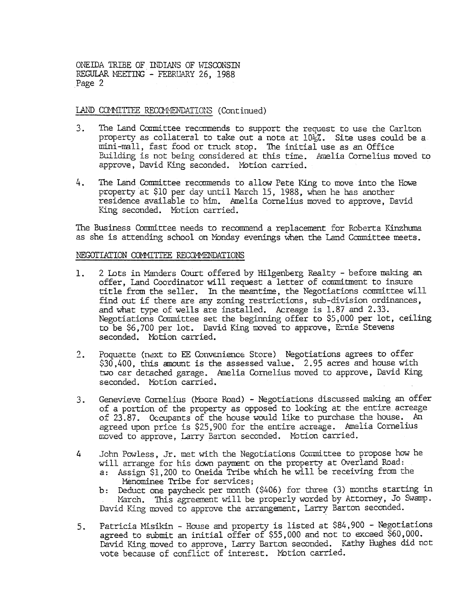ONEIDA TRIBE OF INDIANS OF WISCONSIN REGULAR MEETING - FEBRUARY 26, 1988 Page 2

# LAND COMMITTEE RECOMMENDATIONS (Continued)

- The Land Committee recommends to support the request to use the Carlton  $3.$ property as collateral to take out a note at  $10\frac{1}{2}\%$ . Site uses could be a mini-mall, fast food or truck stop. The initial use as an Office Building is not being considered at this time. Amelia Cornelius moved to approve, David King seconded. Motion carried.
- 4. The Land Committee recommends to allow Pete King to move into the Howe. property at  $$10$  per day until March 15, 1988, when he bas another residence available to him. Amelia Cornelius moved to approve, David King seconded. Motion carried.

The Business Committee needs to recommend a replacement for Roberta Kinzhuma as she is attending school on Monday evenings when the Land Committee meets.

#### NEGOTIATION COMMITTEE RECOMMENDATIONS

- 1. 2 Lots in Manders Court offered by Hilgenberg Realty before making on<br>the first of the manders of the manders of the court of the court of the court of the court of the court of the court of the court of the court of offer, Land Coordinator will request a letter of commitment to insure title from the seller. In the meantime, the Negotiations committee will find out if there are any zoning restrictions, sub-division ordinances, and what type of wells are installed. Acreage is 1.87 and 2.33. Negotiations Committee set the beginning offer to \$5, 000 per lot, ceiling to be \$6,700 per lot. David King moved to approve, Ernie Stevens seconded. Motion carried.
	- Poquette (next to EE Convenience Store) Negotiations agrees to offer \$30,400, tbis amount is the assessed value. 2.95 acres and house with two car detached garage. Amelia Cornelius moved to approve, David King seconded. Motion carried.  $2.$
	- Genevieve Cornelius (Moore Road) Negotiations discussed making an offer of a portion of the property as opposed to looking at the entire acreage of 23.87. Occupants of the house would like to purchase the house. An agreed upon price is \$25,900 for the entire acreage. Amelia Cornelius moved to approve, Larry Barton seconded. Motion carried. 3.
	- 4 John Powless. Jr. met with the Negotiations Committee to propose how he will arrange for his down payment on the property at Overland Road:
		- a: Assign \$1,200 to Oneida Tribe which he will be receiving from the Menominee Tribe for services;
		- b: Deduct one paycheck per month (\$406) for three (3) months starting in March. This agreement will be properly worded by Attorney, Jo Swamp. David King moved to approve the arrangement. Larry Barton seconded.
	- Patricia Misikin House and property is listed at \$84,900 Negotiations agreed to submit an initial offer of  $$55,000$  and not to exceed  $$60,000$ . David King moved to approve, Larry Barton seconded. Kathy Hughes did not vote because of conflict of interest. MOtion carried. 5..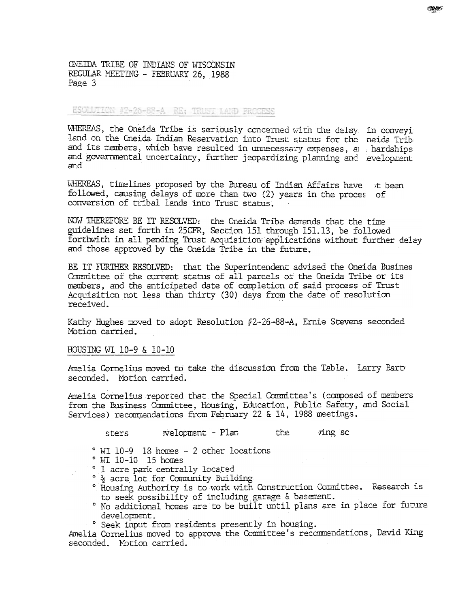ONEIDA TRIBE OF INDIANS OF WISCONSIN REGULAR MEETING - FEBRUARY 26, 1988 Page 3

ESCHUTION 42-26-88-A RE: TRUST LAND FROGESS

WHEREAS, the Oneida Tribe is seriously concerned with the delay in conveyi land on the Cneida Indian Reservation into Trust status for the neida Trib and its members, which have resulted in unnecessary expenses, a hardships and governmental uncertainty, further jeopardizing planning and evelopment and

WHEREAS, timelines proposed by the Bureau of Indian Affairs have t been followed, causing delays of more than two (2) years in the proces of conversion of tribal lands into Trust status.

NOW THEREFORE BE IT RESOLVED: the Oneida Tribe demands that the time guidelines set forth in 25CFR, Section 151 through 151.13, be followed forthwith in all pending Trust Acquisition applications without further delay and those approved by the Oneida Tribe in the future.

BE IT FURTHER RESOLVED: that the Superintendent advised the Oneida Busines Committee of the current status of all parcels of the Oneida Tribe or its members, and the anticipated date of completion of said process of Trust Acquisition not less than thirty (30) days from the date of resolution received.

Kathy Hughes moved to adopt Resolution  $#2-26-88-A$ , Ernie Stevens seconded Motion carried.

#### HOUSING WI 10-9 & 10-10

Amelia Cornelius moved to take the discussion from the Table. Larry Bart seconded. Motion carried.

Amelia Cornelius reported that the Special Committee's (composed of members from the Business Committee, Housing, Education, Public Safety, and Social Services) recommendations from February 22 & 14, 1988 meetings.

- welopment Plan the ving sc sters
- ° WI 10-9 18 homes 2 other locations
- ° WI 10-10 15 homes
- ° 1 acre park centrally located
- <sup>o</sup>  $\frac{1}{2}$  acre lot for Community Building
- ° Housing Authority is to work with Construction Committee. Research is to seek possibility of including garage & basement.
- ° No additional homes are to be built until plans are in place for future development.
- ° Seek input from residents presently in housing.

Amelia Cornelius moved to approve the Committee's recommendations, David King seconded. Motion carried.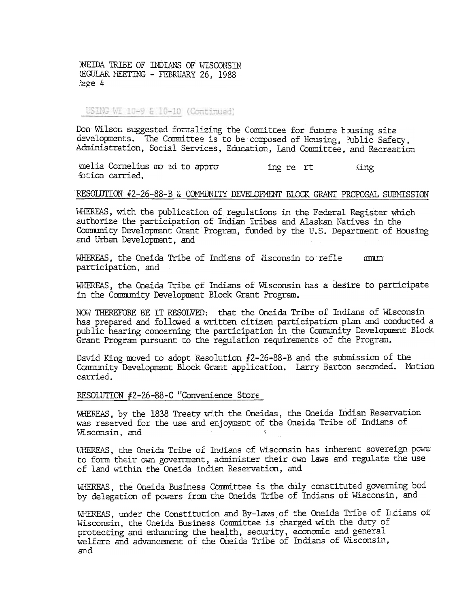**NEIDA TRIBE OF INDIANS OF WISCONSIN EGULAR MEETING - FEBRUARY 26. 1988** age 4'

USING WI 10-9 & 10-10 (Continued)

Don Wilson suggested formalizing the Committee for future housing site developments. The Committee is to be composed of Housing, Aublic Safety, Administration, Social Services, Education, Land Committee, and Recreation

melia Cornelius mo ed to appro ing re rt (ing) fotion carried.

# RESOLUTION #2-26-88-B & COMMUNITY DEVELOPMENT BLOCK GRANT PROPOSAL SUBMISSION

WHEREAS, with the publication of regulations in the Federal Register which authorize the participation of Indian Tribes and Alaskan Natives in the Community Development Grant Program, funded by the U.S. Department of Housing and Urban Development, and

WHEREAS, the Oneida Tribe of Indians of Hisconsin to refle  $mm$ participation, and

WHEREAS, the Cheida Tribe of Indians of Wisconsin has a desire to participate in the Community Development Block Grant Program.

NOW THEREFORE BE IT RESOLVED: that the Oneida Tribe of Indians of Wisconsin has prepared and followed a written citizen participation plan and conducted a public hearing concerning the participation in the Community Development Block Grant Program pursuant to the regulation requirements of the Program.

David King moved to adopt Resolution #2-26-88-B and the submission of the Community Development Block Grant application. Larry Barton seconded. Motion carried.

# RESOLUTION #2-26-88-C "Convenience Store

WHEREAS, by the 1838 Treaty with the Oneidas, the Oneida Indian Reservation was reserved for the use and enjoyment of the Oneida Tribe of Indians of Wisconsin, and

WHEREAS, the Oneida Tribe of Indians of Wisconsin has inherent sovereign power to form their own government, administer their own laws and regulate the use of land within the Oneida Indian Reservation, and

WHEREAS, the Oneida Business Committee is the duly constituted governing bod by delegation of powers from the Oneida Tribe of Indians of Wisconsin, and

WHEREAS, under the Constitution and By-laws of the Oneida Tribe of Ludians of Wisconsin, the Oneida Business Committee is charged with the duty of protecting and enhancing the health, security, economic and general welfare and advancement of the Oneida Tribe of Indians of Wisconsin, and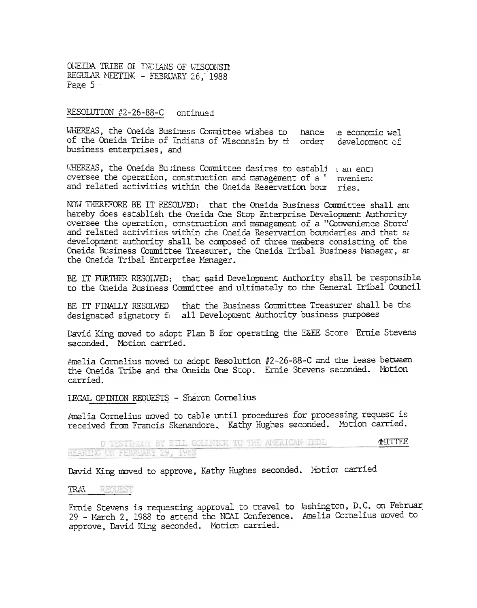ONEIDA TRIBE OI INDIANS OF WISCONSTI REGULAR MEETING - FEBRUARY 26. 1988 Page 5

RESOLUTION #2-26-88-C ontinued

WHEREAS, the Oneida Business Committee wishes to hance e economic wel of the Oneida Tribe of Indians of Wisconsin by the order development of business enterprises, and

WHEREAS, the Oneida Business Committee desires to establi  $_1$  an enti oversee the operation, construction and management of a ' myeniend and related activities within the Oneida Reservation bour ries.

NOW THEREFORE BE IT RESOLVED: that the Oneida Business Committee shall and hereby does establish the Oneida One Stop Enterprise Development Authority oversee the operation, construction and management of a "Convenience Store' and related activities within the Oneida Reservation boundaries and that sa development authority shall be composed of three members consisting of the Cneida Business Committee Treasurer, the Oneida Tribal Business Manager, ar the Oneida Tribal Enterprise Manager.

BE IT FURTHER RESOLVED: that said Development Authority shall be responsible to the Oneida Business Committee and ultimately to the Ceneral Tribal Council

that the Business Committee Treasurer shall be the BE IT FINALLY RESOLVED designated signatory fo all Development Authority business purposes

David King moved to adopt Plan B for operating the E&EE Store Ernie Stevens seconded. Motion carried.

Amelia Cornelius moved to adopt Resolution #2-26-88-C and the lease between the Oneida Tribe and the Oneida One Stop. Ernie Stevens seconded. Motion carried.

LEGAL OPINION REQUESTS - Sharon Cornelius

Amelia Cornelius moved to table until procedures for processing request is received from Francis Skenandore. Kathy Hughes seconded. Motion carried.

**NITTEE** D TESTRININ BY BILL GOLLNICK TO THE AMERICAN INDE HFARING ON FEBRUARY 29, 1988

David King moved to approve, Kathy Hughes seconded. Motior carried

#### REQUEST TRAN

Ernie Stevens is requesting approval to travel to lashington, D.C. on Februar 29 - March 2, 1988 to attend the NCAI Conference. Amelia Cornelius moved to approve, David King seconded. Motion carried.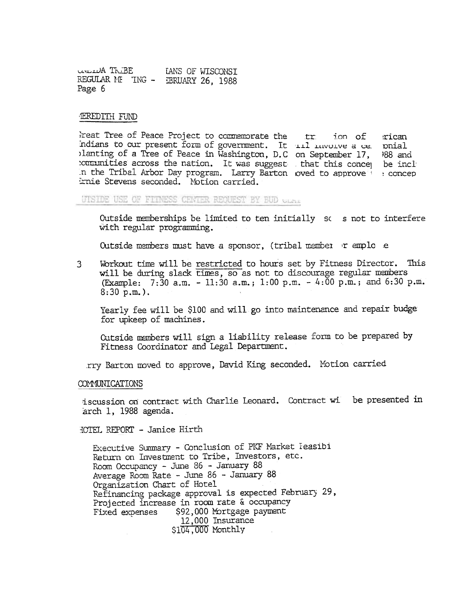CAVELLUA TREBE LANS OF WISCONST REGULAR ME TNG - EBRUARY 26, 1988 Page 6

#### **IEREDITH FUND**

Freat Tree of Peace Project to commemorate the train of rican Indians to our present form of government. It ill involve a ce poial planting of a Tree of Peace in Washington, D.C on September 17,  $988$  and communities across the nation. It was suggest that this concer be inclu In the Tribal Arbor Day program. Larry Barton oved to approve is concep Ernie Stevens seconded. Motion carried.

UTSIDE USE OF FITNESS CENTER REQUEST BY BUD GLAZ

Outside memberships be limited to ten initially so s not to interfere with regular programming.

Outside members must have a sponsor, (tribal member r emplo e

 $\mathbf{3}$ Workout time will be restricted to hours set by Fitness Director. This will be during slack times, so as not to discourage regular members (Example: 7:30 a.m. - 11:30 a.m.; 1:00 p.m. - 4:00 p.m.; and 6:30 p.m.  $8:30 p.m.$ .

Yearly fee will be \$100 and will go into maintenance and repair budge for upkeep of machines.

Cutside members will sign a liability release form to be prepared by Fitness Coordinator and Legal Department.

rry Barton moved to approve, David King seconded. Motion carried

**COMMUNICATIONS** 

iscussion on contract with Charlie Leonard. Contract wi be presented in arch 1, 1988 agenda.

HOTEL REPORT - Janice Hirth

Executive Summary - Conclusion of PKF Market Feasibi Return on Investment to Tribe, Investors, etc. Room Occupancy - June 86 - January 88 Average Room Rate - June 86 - January 88 Organization Chart of Hotel Refinancing package approval is expected February 29, Projected increase in room rate & occupancy \$92,000 Mortgage payment Fixed expenses 12.000 Insurance  $$104,000$  Monthly